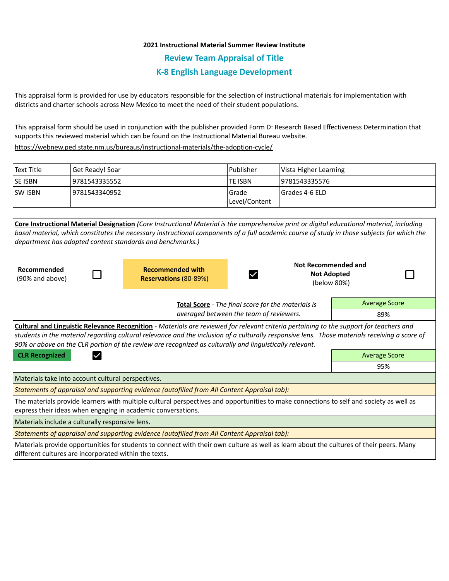## **2021 Instructional Material Summer Review Institute**

**Review Team Appraisal of Title**

## **K-8 English Language Development**

This appraisal form is provided for use by educators responsible for the selection of instructional materials for implementation with districts and charter schools across New Mexico to meet the need of their student populations.

This appraisal form should be used in conjunction with the publisher provided Form D: Research Based Effectiveness Determination that supports this reviewed material which can be found on the Instructional Material Bureau website.

<https://webnew.ped.state.nm.us/bureaus/instructional-materials/the-adoption-cycle/>

| Text Title     | Get Ready! Soar | Publisher              | Vista Higher Learning |
|----------------|-----------------|------------------------|-----------------------|
| <b>SE ISBN</b> | 19781543335552  | <b>TE ISBN</b>         | 19781543335576        |
| <b>SW ISBN</b> | 19781543340952  | Grade<br>Level/Content | I Grades 4-6 ELD      |

**Core Instructional Material Designation** *(Core Instructional Material is the comprehensive print or digital educational material, including basal material, which constitutes the necessary instructional components of a full academic course of study in those subjects for which the department has adopted content standards and benchmarks.)* **Not Recommended and Recommended with Recommended Not Adopted**  Ø (90% and above) **Reservations** (80-89%) (below 80%) Average Score **Total Score** - *The final score for the materials is averaged between the team of reviewers.* 89% **Cultural and Linguistic Relevance Recognition** - *Materials are reviewed for relevant criteria pertaining to the support for teachers and students in the material regarding cultural relevance and the inclusion of a culturally responsive lens. Those materials receiving a score of 90% or above on the CLR portion of the review are recognized as culturally and linguistically relevant.* **CLR Recognized Average Score Average Score Average Score Average Score** 95% Materials take into account cultural perspectives. *Statements of appraisal and supporting evidence (autofilled from All Content Appraisal tab):*  The materials provide learners with multiple cultural perspectives and opportunities to make connections to self and society as well as express their ideas when engaging in academic conversations. Materials include a culturally responsive lens. *Statements of appraisal and supporting evidence (autofilled from All Content Appraisal tab):*  Materials provide opportunities for students to connect with their own culture as well as learn about the cultures of their peers. Many

different cultures are incorporated within the texts.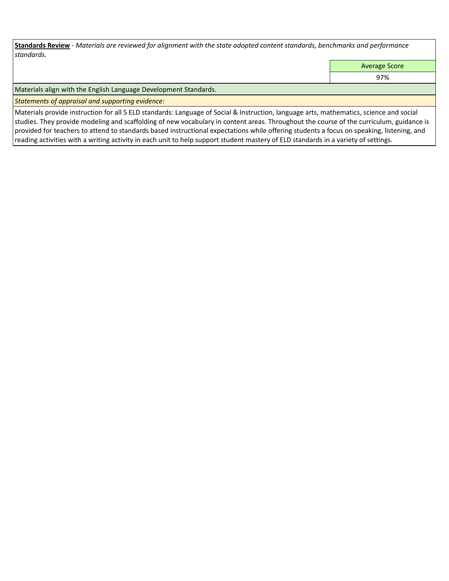**Standards Review** *- Materials are reviewed for alignment with the state adopted content standards, benchmarks and performance standards.*

Average Score

97%

Materials align with the English Language Development Standards.

*Statements of appraisal and supporting evidence:* 

Materials provide instruction for all 5 ELD standards: Language of Social & Instruction, language arts, mathematics, science and social studies. They provide modeling and scaffolding of new vocabulary in content areas. Throughout the course of the curriculum, guidance is provided for teachers to attend to standards based instructional expectations while offering students a focus on speaking, listening, and reading activities with a writing activity in each unit to help support student mastery of ELD standards in a variety of settings.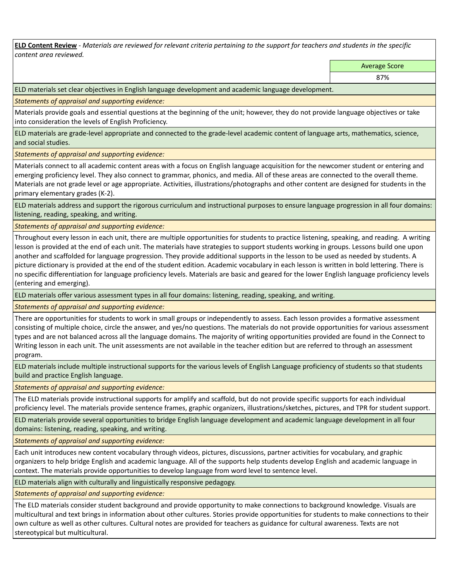**ELD Content Review** *- Materials are reviewed for relevant criteria pertaining to the support for teachers and students in the specific content area reviewed.*

Average Score

ELD materials set clear objectives in English language development and academic language development.

*Statements of appraisal and supporting evidence:* 

Materials provide goals and essential questions at the beginning of the unit; however, they do not provide language objectives or take into consideration the levels of English Proficiency.

ELD materials are grade-level appropriate and connected to the grade-level academic content of language arts, mathematics, science, and social studies.

*Statements of appraisal and supporting evidence:* 

Materials connect to all academic content areas with a focus on English language acquisition for the newcomer student or entering and emerging proficiency level. They also connect to grammar, phonics, and media. All of these areas are connected to the overall theme. Materials are not grade level or age appropriate. Activities, illustrations/photographs and other content are designed for students in the primary elementary grades (K-2).

ELD materials address and support the rigorous curriculum and instructional purposes to ensure language progression in all four domains: listening, reading, speaking, and writing.

*Statements of appraisal and supporting evidence:* 

Throughout every lesson in each unit, there are multiple opportunities for students to practice listening, speaking, and reading. A writing lesson is provided at the end of each unit. The materials have strategies to support students working in groups. Lessons build one upon another and scaffolded for language progression. They provide additional supports in the lesson to be used as needed by students. A picture dictionary is provided at the end of the student edition. Academic vocabulary in each lesson is written in bold lettering. There is no specific differentiation for language proficiency levels. Materials are basic and geared for the lower English language proficiency levels (entering and emerging).

ELD materials offer various assessment types in all four domains: listening, reading, speaking, and writing.

*Statements of appraisal and supporting evidence:* 

There are opportunities for students to work in small groups or independently to assess. Each lesson provides a formative assessment consisting of multiple choice, circle the answer, and yes/no questions. The materials do not provide opportunities for various assessment types and are not balanced across all the language domains. The majority of writing opportunities provided are found in the Connect to Writing lesson in each unit. The unit assessments are not available in the teacher edition but are referred to through an assessment program.

ELD materials include multiple instructional supports for the various levels of English Language proficiency of students so that students build and practice English language.

*Statements of appraisal and supporting evidence:* 

The ELD materials provide instructional supports for amplify and scaffold, but do not provide specific supports for each individual proficiency level. The materials provide sentence frames, graphic organizers, illustrations/sketches, pictures, and TPR for student support.

ELD materials provide several opportunities to bridge English language development and academic language development in all four domains: listening, reading, speaking, and writing.

*Statements of appraisal and supporting evidence:* 

Each unit introduces new content vocabulary through videos, pictures, discussions, partner activities for vocabulary, and graphic organizers to help bridge English and academic language. All of the supports help students develop English and academic language in context. The materials provide opportunities to develop language from word level to sentence level.

ELD materials align with culturally and linguistically responsive pedagogy.

*Statements of appraisal and supporting evidence:* 

The ELD materials consider student background and provide opportunity to make connections to background knowledge. Visuals are multicultural and text brings in information about other cultures. Stories provide opportunities for students to make connections to their own culture as well as other cultures. Cultural notes are provided for teachers as guidance for cultural awareness. Texts are not stereotypical but multicultural.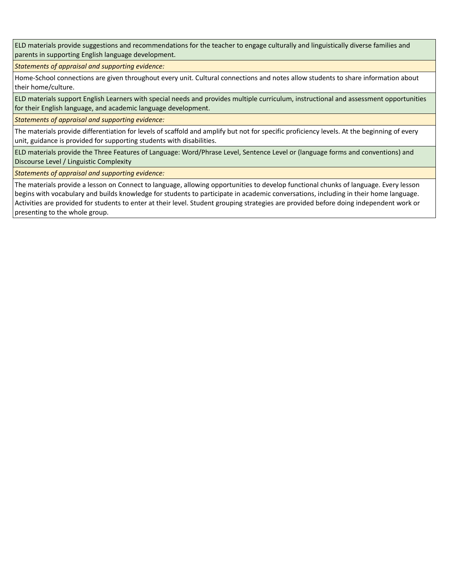ELD materials provide suggestions and recommendations for the teacher to engage culturally and linguistically diverse families and parents in supporting English language development.

*Statements of appraisal and supporting evidence:* 

Home-School connections are given throughout every unit. Cultural connections and notes allow students to share information about their home/culture.

ELD materials support English Learners with special needs and provides multiple curriculum, instructional and assessment opportunities for their English language, and academic language development.

*Statements of appraisal and supporting evidence:* 

The materials provide differentiation for levels of scaffold and amplify but not for specific proficiency levels. At the beginning of every unit, guidance is provided for supporting students with disabilities.

ELD materials provide the Three Features of Language: Word/Phrase Level, Sentence Level or (language forms and conventions) and Discourse Level / Linguistic Complexity

*Statements of appraisal and supporting evidence:* 

The materials provide a lesson on Connect to language, allowing opportunities to develop functional chunks of language. Every lesson begins with vocabulary and builds knowledge for students to participate in academic conversations, including in their home language. Activities are provided for students to enter at their level. Student grouping strategies are provided before doing independent work or presenting to the whole group.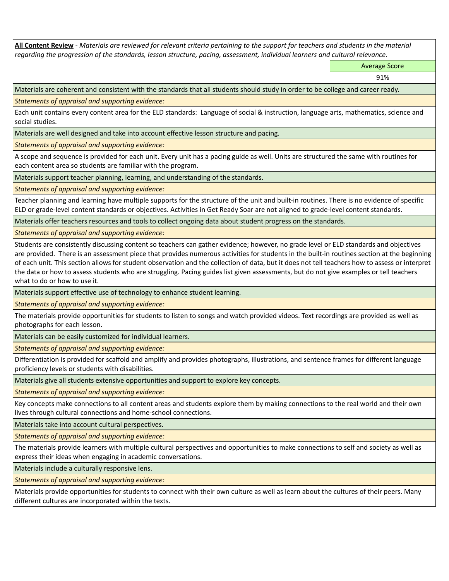**All Content Review** *- Materials are reviewed for relevant criteria pertaining to the support for teachers and students in the material regarding the progression of the standards, lesson structure, pacing, assessment, individual learners and cultural relevance.*

Average Score

91%

Materials are coherent and consistent with the standards that all students should study in order to be college and career ready.

*Statements of appraisal and supporting evidence:*

Each unit contains every content area for the ELD standards: Language of social & instruction, language arts, mathematics, science and social studies.

Materials are well designed and take into account effective lesson structure and pacing.

*Statements of appraisal and supporting evidence:*

A scope and sequence is provided for each unit. Every unit has a pacing guide as well. Units are structured the same with routines for each content area so students are familiar with the program.

Materials support teacher planning, learning, and understanding of the standards.

*Statements of appraisal and supporting evidence:*

Teacher planning and learning have multiple supports for the structure of the unit and built-in routines. There is no evidence of specific ELD or grade-level content standards or objectives. Activities in Get Ready Soar are not aligned to grade-level content standards.

Materials offer teachers resources and tools to collect ongoing data about student progress on the standards.

*Statements of appraisal and supporting evidence:*

Students are consistently discussing content so teachers can gather evidence; however, no grade level or ELD standards and objectives are provided. There is an assessment piece that provides numerous activities for students in the built-in routines section at the beginning of each unit. This section allows for student observation and the collection of data, but it does not tell teachers how to assess or interpret the data or how to assess students who are struggling. Pacing guides list given assessments, but do not give examples or tell teachers what to do or how to use it.

Materials support effective use of technology to enhance student learning.

*Statements of appraisal and supporting evidence:*

The materials provide opportunities for students to listen to songs and watch provided videos. Text recordings are provided as well as photographs for each lesson.

Materials can be easily customized for individual learners.

*Statements of appraisal and supporting evidence:* 

Differentiation is provided for scaffold and amplify and provides photographs, illustrations, and sentence frames for different language proficiency levels or students with disabilities.

Materials give all students extensive opportunities and support to explore key concepts.

*Statements of appraisal and supporting evidence:*

Key concepts make connections to all content areas and students explore them by making connections to the real world and their own lives through cultural connections and home-school connections.

Materials take into account cultural perspectives.

*Statements of appraisal and supporting evidence:*

The materials provide learners with multiple cultural perspectives and opportunities to make connections to self and society as well as express their ideas when engaging in academic conversations.

Materials include a culturally responsive lens.

*Statements of appraisal and supporting evidence:*

Materials provide opportunities for students to connect with their own culture as well as learn about the cultures of their peers. Many different cultures are incorporated within the texts.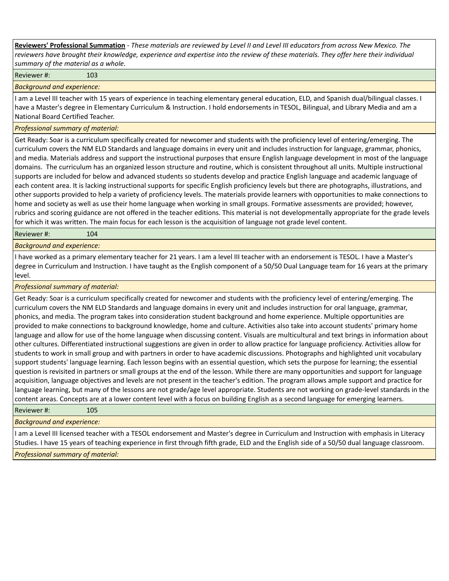**Reviewers' Professional Summation** *- These materials are reviewed by Level II and Level III educators from across New Mexico. The reviewers have brought their knowledge, experience and expertise into the review of these materials. They offer here their individual summary of the material as a whole.*

Reviewer #: 103

*Background and experience:*

I am a Level III teacher with 15 years of experience in teaching elementary general education, ELD, and Spanish dual/bilingual classes. I have a Master's degree in Elementary Curriculum & Instruction. I hold endorsements in TESOL, Bilingual, and Library Media and am a National Board Certified Teacher.

## *Professional summary of material:*

Get Ready: Soar is a curriculum specifically created for newcomer and students with the proficiency level of entering/emerging. The curriculum covers the NM ELD Standards and language domains in every unit and includes instruction for language, grammar, phonics, and media. Materials address and support the instructional purposes that ensure English language development in most of the language domains. The curriculum has an organized lesson structure and routine, which is consistent throughout all units. Multiple instructional supports are included for below and advanced students so students develop and practice English language and academic language of each content area. It is lacking instructional supports for specific English proficiency levels but there are photographs, illustrations, and other supports provided to help a variety of proficiency levels. The materials provide learners with opportunities to make connections to home and society as well as use their home language when working in small groups. Formative assessments are provided; however, rubrics and scoring guidance are not offered in the teacher editions. This material is not developmentally appropriate for the grade levels for which it was written. The main focus for each lesson is the acquisition of language not grade level content.

Reviewer #: 104

*Background and experience:*

I have worked as a primary elementary teacher for 21 years. I am a level III teacher with an endorsement is TESOL. I have a Master's degree in Curriculum and Instruction. I have taught as the English component of a 50/50 Dual Language team for 16 years at the primary level.

*Professional summary of material:*

Get Ready: Soar is a curriculum specifically created for newcomer and students with the proficiency level of entering/emerging. The curriculum covers the NM ELD Standards and language domains in every unit and includes instruction for oral language, grammar, phonics, and media. The program takes into consideration student background and home experience. Multiple opportunities are provided to make connections to background knowledge, home and culture. Activities also take into account students' primary home language and allow for use of the home language when discussing content. Visuals are multicultural and text brings in information about other cultures. Differentiated instructional suggestions are given in order to allow practice for language proficiency. Activities allow for students to work in small group and with partners in order to have academic discussions. Photographs and highlighted unit vocabulary support students' language learning. Each lesson begins with an essential question, which sets the purpose for learning; the essential question is revisited in partners or small groups at the end of the lesson. While there are many opportunities and support for language acquisition, language objectives and levels are not present in the teacher's edition. The program allows ample support and practice for language learning, but many of the lessons are not grade/age level appropriate. Students are not working on grade-level standards in the content areas. Concepts are at a lower content level with a focus on building English as a second language for emerging learners.

Reviewer #: 105

*Background and experience:*

I am a Level III licensed teacher with a TESOL endorsement and Master's degree in Curriculum and Instruction with emphasis in Literacy Studies. I have 15 years of teaching experience in first through fifth grade, ELD and the English side of a 50/50 dual language classroom.

*Professional summary of material:*